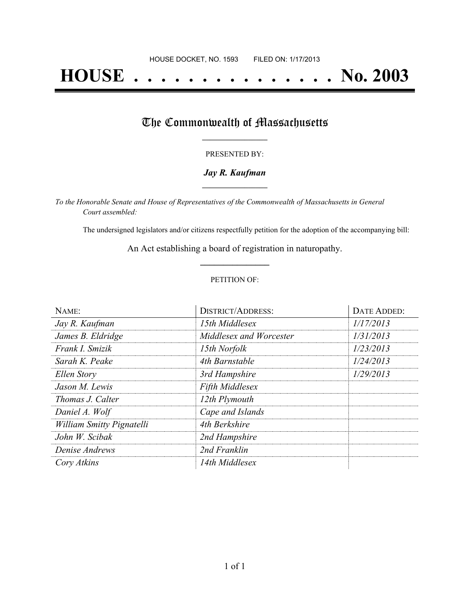# **HOUSE . . . . . . . . . . . . . . . No. 2003**

## The Commonwealth of Massachusetts

#### PRESENTED BY:

#### *Jay R. Kaufman* **\_\_\_\_\_\_\_\_\_\_\_\_\_\_\_\_\_**

*To the Honorable Senate and House of Representatives of the Commonwealth of Massachusetts in General Court assembled:*

The undersigned legislators and/or citizens respectfully petition for the adoption of the accompanying bill:

An Act establishing a board of registration in naturopathy. **\_\_\_\_\_\_\_\_\_\_\_\_\_\_\_**

#### PETITION OF:

| NAME:                     | <b>DISTRICT/ADDRESS:</b> | DATE ADDED: |
|---------------------------|--------------------------|-------------|
| Jay R. Kaufman            | 15th Middlesex           | 1/17/2013   |
| James B. Eldridge         | Middlesex and Worcester  | 1/31/2013   |
| Frank I. Smizik           | 15th Norfolk             | 1/23/2013   |
| Sarah K. Peake            | 4th Barnstable           | 1/24/2013   |
| Ellen Story               | 3rd Hampshire            | 1/29/2013   |
| Jason M. Lewis            | <b>Fifth Middlesex</b>   |             |
| <i>Thomas J. Calter</i>   | 12th Plymouth            |             |
| Daniel A. Wolf            | Cape and Islands         |             |
| William Smitty Pignatelli | 4th Berkshire            |             |
| John W. Scibak            | 2nd Hampshire            |             |
| Denise Andrews            | 2nd Franklin             |             |
| Cory Atkins               | 14th Middlesex           |             |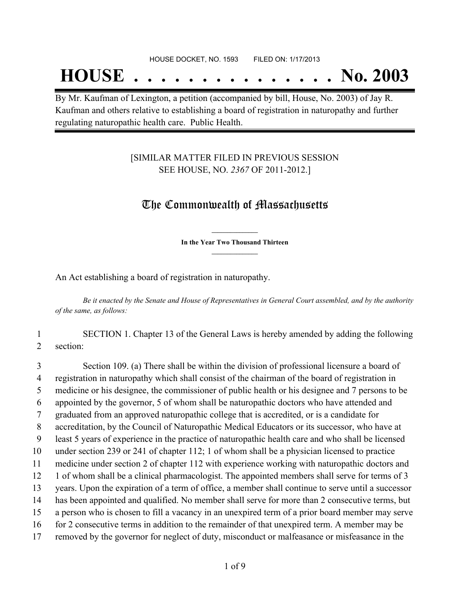## **HOUSE . . . . . . . . . . . . . . . No. 2003**

By Mr. Kaufman of Lexington, a petition (accompanied by bill, House, No. 2003) of Jay R. Kaufman and others relative to establishing a board of registration in naturopathy and further regulating naturopathic health care. Public Health.

## [SIMILAR MATTER FILED IN PREVIOUS SESSION SEE HOUSE, NO. *2367* OF 2011-2012.]

## The Commonwealth of Massachusetts

**\_\_\_\_\_\_\_\_\_\_\_\_\_\_\_ In the Year Two Thousand Thirteen \_\_\_\_\_\_\_\_\_\_\_\_\_\_\_**

An Act establishing a board of registration in naturopathy.

Be it enacted by the Senate and House of Representatives in General Court assembled, and by the authority *of the same, as follows:*

## 1 SECTION 1. Chapter 13 of the General Laws is hereby amended by adding the following 2 section:

 Section 109. (a) There shall be within the division of professional licensure a board of registration in naturopathy which shall consist of the chairman of the board of registration in medicine or his designee, the commissioner of public health or his designee and 7 persons to be appointed by the governor, 5 of whom shall be naturopathic doctors who have attended and graduated from an approved naturopathic college that is accredited, or is a candidate for accreditation, by the Council of Naturopathic Medical Educators or its successor, who have at least 5 years of experience in the practice of naturopathic health care and who shall be licensed under section 239 or 241 of chapter 112; 1 of whom shall be a physician licensed to practice medicine under section 2 of chapter 112 with experience working with naturopathic doctors and 1 of whom shall be a clinical pharmacologist. The appointed members shall serve for terms of 3 years. Upon the expiration of a term of office, a member shall continue to serve until a successor has been appointed and qualified. No member shall serve for more than 2 consecutive terms, but a person who is chosen to fill a vacancy in an unexpired term of a prior board member may serve for 2 consecutive terms in addition to the remainder of that unexpired term. A member may be removed by the governor for neglect of duty, misconduct or malfeasance or misfeasance in the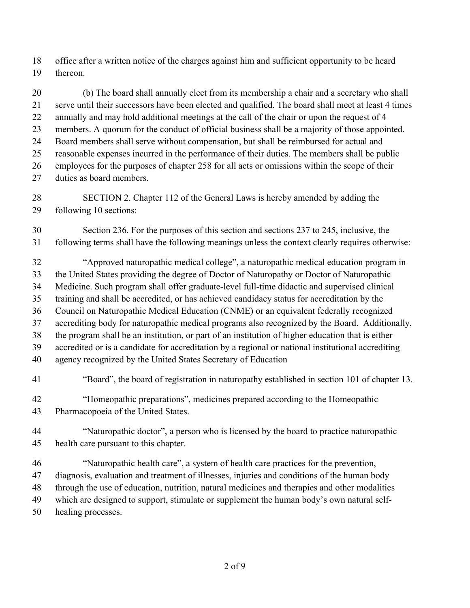office after a written notice of the charges against him and sufficient opportunity to be heard thereon.

 (b) The board shall annually elect from its membership a chair and a secretary who shall serve until their successors have been elected and qualified. The board shall meet at least 4 times 22 annually and may hold additional meetings at the call of the chair or upon the request of 4 members. A quorum for the conduct of official business shall be a majority of those appointed. Board members shall serve without compensation, but shall be reimbursed for actual and reasonable expenses incurred in the performance of their duties. The members shall be public employees for the purposes of chapter 258 for all acts or omissions within the scope of their duties as board members.

 SECTION 2. Chapter 112 of the General Laws is hereby amended by adding the following 10 sections:

 Section 236. For the purposes of this section and sections 237 to 245, inclusive, the following terms shall have the following meanings unless the context clearly requires otherwise:

 "Approved naturopathic medical college", a naturopathic medical education program in the United States providing the degree of Doctor of Naturopathy or Doctor of Naturopathic Medicine. Such program shall offer graduate-level full-time didactic and supervised clinical training and shall be accredited, or has achieved candidacy status for accreditation by the Council on Naturopathic Medical Education (CNME) or an equivalent federally recognized accrediting body for naturopathic medical programs also recognized by the Board. Additionally, the program shall be an institution, or part of an institution of higher education that is either accredited or is a candidate for accreditation by a regional or national institutional accrediting agency recognized by the United States Secretary of Education

- "Board", the board of registration in naturopathy established in section 101 of chapter 13. "Homeopathic preparations", medicines prepared according to the Homeopathic Pharmacopoeia of the United States.
- "Naturopathic doctor", a person who is licensed by the board to practice naturopathic health care pursuant to this chapter.
- "Naturopathic health care", a system of health care practices for the prevention, diagnosis, evaluation and treatment of illnesses, injuries and conditions of the human body through the use of education, nutrition, natural medicines and therapies and other modalities which are designed to support, stimulate or supplement the human body's own natural self-healing processes.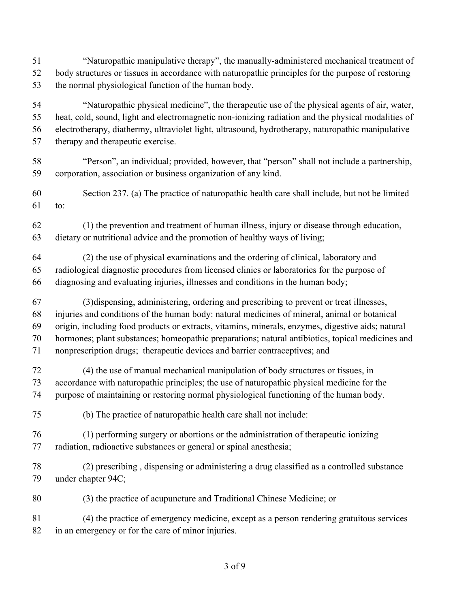"Naturopathic manipulative therapy", the manually-administered mechanical treatment of body structures or tissues in accordance with naturopathic principles for the purpose of restoring the normal physiological function of the human body.

 "Naturopathic physical medicine", the therapeutic use of the physical agents of air, water, heat, cold, sound, light and electromagnetic non-ionizing radiation and the physical modalities of electrotherapy, diathermy, ultraviolet light, ultrasound, hydrotherapy, naturopathic manipulative therapy and therapeutic exercise.

 "Person", an individual; provided, however, that "person" shall not include a partnership, corporation, association or business organization of any kind.

 Section 237. (a) The practice of naturopathic health care shall include, but not be limited to:

 (1) the prevention and treatment of human illness, injury or disease through education, dietary or nutritional advice and the promotion of healthy ways of living;

 (2) the use of physical examinations and the ordering of clinical, laboratory and radiological diagnostic procedures from licensed clinics or laboratories for the purpose of diagnosing and evaluating injuries, illnesses and conditions in the human body;

 (3)dispensing, administering, ordering and prescribing to prevent or treat illnesses, injuries and conditions of the human body: natural medicines of mineral, animal or botanical origin, including food products or extracts, vitamins, minerals, enzymes, digestive aids; natural hormones; plant substances; homeopathic preparations; natural antibiotics, topical medicines and

nonprescription drugs; therapeutic devices and barrier contraceptives; and

 (4) the use of manual mechanical manipulation of body structures or tissues, in accordance with naturopathic principles; the use of naturopathic physical medicine for the purpose of maintaining or restoring normal physiological functioning of the human body.

(b) The practice of naturopathic health care shall not include:

 (1) performing surgery or abortions or the administration of therapeutic ionizing radiation, radioactive substances or general or spinal anesthesia;

 (2) prescribing , dispensing or administering a drug classified as a controlled substance under chapter 94C;

(3) the practice of acupuncture and Traditional Chinese Medicine; or

 (4) the practice of emergency medicine, except as a person rendering gratuitous services in an emergency or for the care of minor injuries.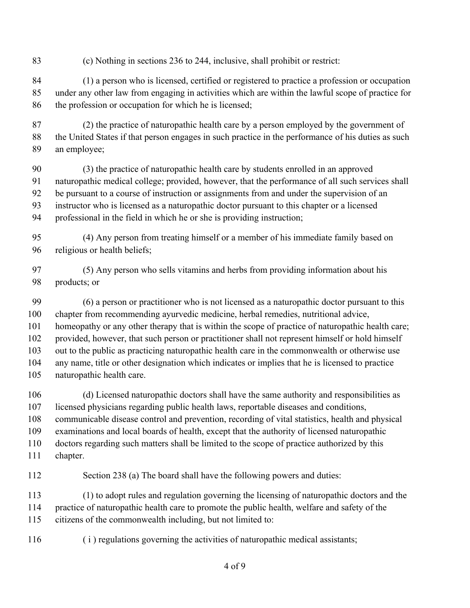(c) Nothing in sections 236 to 244, inclusive, shall prohibit or restrict:

 (1) a person who is licensed, certified or registered to practice a profession or occupation under any other law from engaging in activities which are within the lawful scope of practice for the profession or occupation for which he is licensed;

 (2) the practice of naturopathic health care by a person employed by the government of the United States if that person engages in such practice in the performance of his duties as such an employee;

 (3) the practice of naturopathic health care by students enrolled in an approved naturopathic medical college; provided, however, that the performance of all such services shall be pursuant to a course of instruction or assignments from and under the supervision of an instructor who is licensed as a naturopathic doctor pursuant to this chapter or a licensed professional in the field in which he or she is providing instruction;

 (4) Any person from treating himself or a member of his immediate family based on religious or health beliefs;

 (5) Any person who sells vitamins and herbs from providing information about his products; or

 (6) a person or practitioner who is not licensed as a naturopathic doctor pursuant to this chapter from recommending ayurvedic medicine, herbal remedies, nutritional advice, homeopathy or any other therapy that is within the scope of practice of naturopathic health care; provided, however, that such person or practitioner shall not represent himself or hold himself out to the public as practicing naturopathic health care in the commonwealth or otherwise use any name, title or other designation which indicates or implies that he is licensed to practice naturopathic health care.

 (d) Licensed naturopathic doctors shall have the same authority and responsibilities as licensed physicians regarding public health laws, reportable diseases and conditions, communicable disease control and prevention, recording of vital statistics, health and physical examinations and local boards of health, except that the authority of licensed naturopathic doctors regarding such matters shall be limited to the scope of practice authorized by this chapter.

112 Section 238 (a) The board shall have the following powers and duties:

 (1) to adopt rules and regulation governing the licensing of naturopathic doctors and the practice of naturopathic health care to promote the public health, welfare and safety of the citizens of the commonwealth including, but not limited to:

( i ) regulations governing the activities of naturopathic medical assistants;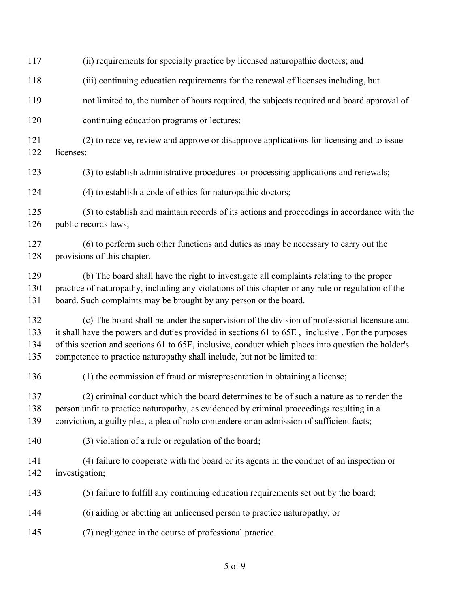(ii) requirements for specialty practice by licensed naturopathic doctors; and (iii) continuing education requirements for the renewal of licenses including, but not limited to, the number of hours required, the subjects required and board approval of continuing education programs or lectures; (2) to receive, review and approve or disapprove applications for licensing and to issue licenses; (3) to establish administrative procedures for processing applications and renewals; (4) to establish a code of ethics for naturopathic doctors; (5) to establish and maintain records of its actions and proceedings in accordance with the public records laws; (6) to perform such other functions and duties as may be necessary to carry out the provisions of this chapter. (b) The board shall have the right to investigate all complaints relating to the proper practice of naturopathy, including any violations of this chapter or any rule or regulation of the board. Such complaints may be brought by any person or the board. (c) The board shall be under the supervision of the division of professional licensure and it shall have the powers and duties provided in sections 61 to 65E , inclusive . For the purposes of this section and sections 61 to 65E, inclusive, conduct which places into question the holder's competence to practice naturopathy shall include, but not be limited to: (1) the commission of fraud or misrepresentation in obtaining a license; (2) criminal conduct which the board determines to be of such a nature as to render the person unfit to practice naturopathy, as evidenced by criminal proceedings resulting in a conviction, a guilty plea, a plea of nolo contendere or an admission of sufficient facts; (3) violation of a rule or regulation of the board; (4) failure to cooperate with the board or its agents in the conduct of an inspection or investigation; (5) failure to fulfill any continuing education requirements set out by the board; (6) aiding or abetting an unlicensed person to practice naturopathy; or (7) negligence in the course of professional practice.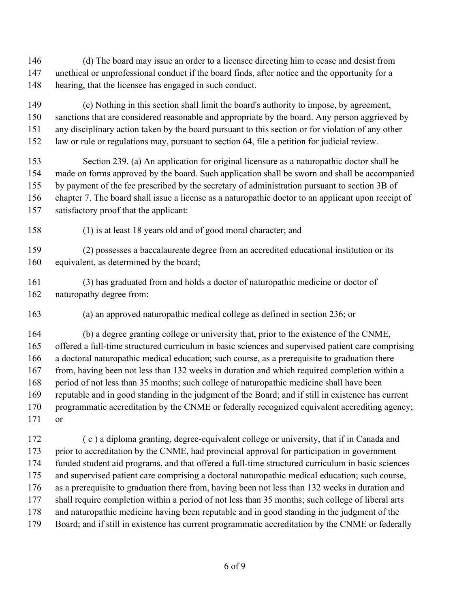(d) The board may issue an order to a licensee directing him to cease and desist from unethical or unprofessional conduct if the board finds, after notice and the opportunity for a hearing, that the licensee has engaged in such conduct.

 (e) Nothing in this section shall limit the board's authority to impose, by agreement, sanctions that are considered reasonable and appropriate by the board. Any person aggrieved by any disciplinary action taken by the board pursuant to this section or for violation of any other law or rule or regulations may, pursuant to section 64, file a petition for judicial review.

 Section 239. (a) An application for original licensure as a naturopathic doctor shall be made on forms approved by the board. Such application shall be sworn and shall be accompanied by payment of the fee prescribed by the secretary of administration pursuant to section 3B of chapter 7. The board shall issue a license as a naturopathic doctor to an applicant upon receipt of satisfactory proof that the applicant:

(1) is at least 18 years old and of good moral character; and

 (2) possesses a baccalaureate degree from an accredited educational institution or its 160 equivalent, as determined by the board;

 (3) has graduated from and holds a doctor of naturopathic medicine or doctor of naturopathy degree from:

(a) an approved naturopathic medical college as defined in section 236; or

 (b) a degree granting college or university that, prior to the existence of the CNME, offered a full-time structured curriculum in basic sciences and supervised patient care comprising a doctoral naturopathic medical education; such course, as a prerequisite to graduation there from, having been not less than 132 weeks in duration and which required completion within a period of not less than 35 months; such college of naturopathic medicine shall have been reputable and in good standing in the judgment of the Board; and if still in existence has current programmatic accreditation by the CNME or federally recognized equivalent accrediting agency; or

 ( c ) a diploma granting, degree-equivalent college or university, that if in Canada and 173 prior to accreditation by the CNME, had provincial approval for participation in government funded student aid programs, and that offered a full-time structured curriculum in basic sciences and supervised patient care comprising a doctoral naturopathic medical education; such course, as a prerequisite to graduation there from, having been not less than 132 weeks in duration and shall require completion within a period of not less than 35 months; such college of liberal arts and naturopathic medicine having been reputable and in good standing in the judgment of the Board; and if still in existence has current programmatic accreditation by the CNME or federally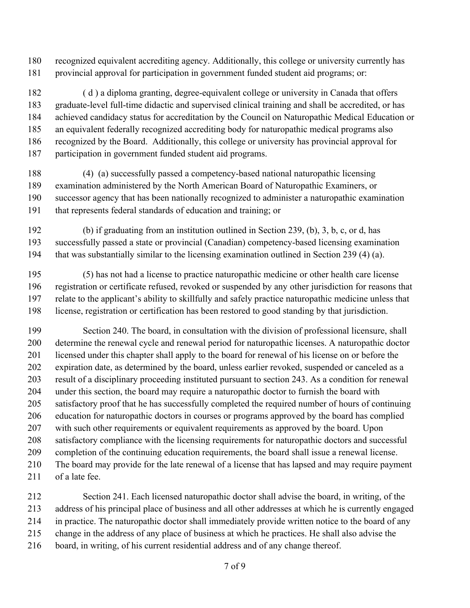recognized equivalent accrediting agency. Additionally, this college or university currently has provincial approval for participation in government funded student aid programs; or:

 ( d ) a diploma granting, degree-equivalent college or university in Canada that offers graduate-level full-time didactic and supervised clinical training and shall be accredited, or has achieved candidacy status for accreditation by the Council on Naturopathic Medical Education or an equivalent federally recognized accrediting body for naturopathic medical programs also recognized by the Board. Additionally, this college or university has provincial approval for participation in government funded student aid programs.

 (4) (a) successfully passed a competency-based national naturopathic licensing examination administered by the North American Board of Naturopathic Examiners, or successor agency that has been nationally recognized to administer a naturopathic examination that represents federal standards of education and training; or

 (b) if graduating from an institution outlined in Section 239, (b), 3, b, c, or d, has successfully passed a state or provincial (Canadian) competency-based licensing examination that was substantially similar to the licensing examination outlined in Section 239 (4) (a).

 (5) has not had a license to practice naturopathic medicine or other health care license registration or certificate refused, revoked or suspended by any other jurisdiction for reasons that relate to the applicant's ability to skillfully and safely practice naturopathic medicine unless that license, registration or certification has been restored to good standing by that jurisdiction.

 Section 240. The board, in consultation with the division of professional licensure, shall determine the renewal cycle and renewal period for naturopathic licenses. A naturopathic doctor licensed under this chapter shall apply to the board for renewal of his license on or before the expiration date, as determined by the board, unless earlier revoked, suspended or canceled as a result of a disciplinary proceeding instituted pursuant to section 243. As a condition for renewal under this section, the board may require a naturopathic doctor to furnish the board with satisfactory proof that he has successfully completed the required number of hours of continuing education for naturopathic doctors in courses or programs approved by the board has complied with such other requirements or equivalent requirements as approved by the board. Upon satisfactory compliance with the licensing requirements for naturopathic doctors and successful completion of the continuing education requirements, the board shall issue a renewal license. The board may provide for the late renewal of a license that has lapsed and may require payment 211 of a late fee.

 Section 241. Each licensed naturopathic doctor shall advise the board, in writing, of the address of his principal place of business and all other addresses at which he is currently engaged in practice. The naturopathic doctor shall immediately provide written notice to the board of any change in the address of any place of business at which he practices. He shall also advise the board, in writing, of his current residential address and of any change thereof.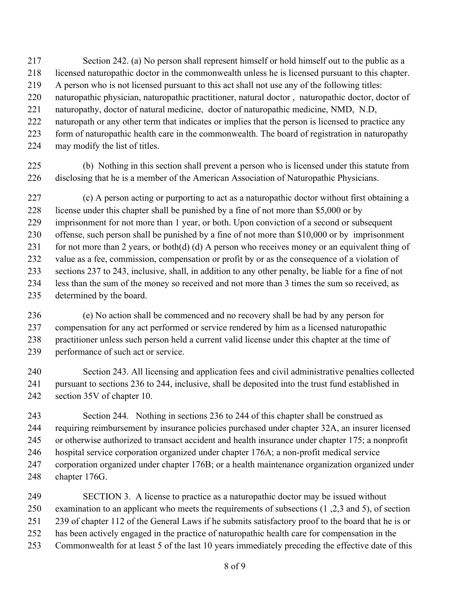- Section 242. (a) No person shall represent himself or hold himself out to the public as a licensed naturopathic doctor in the commonwealth unless he is licensed pursuant to this chapter.
- A person who is not licensed pursuant to this act shall not use any of the following titles:
- naturopathic physician, naturopathic practitioner, natural doctor , naturopathic doctor, doctor of
- naturopathy, doctor of natural medicine, doctor of naturopathic medicine, NMD, N.D,
- naturopath or any other term that indicates or implies that the person is licensed to practice any
- form of naturopathic health care in the commonwealth. The board of registration in naturopathy
- may modify the list of titles.
- (b) Nothing in this section shall prevent a person who is licensed under this statute from disclosing that he is a member of the American Association of Naturopathic Physicians.

 (c) A person acting or purporting to act as a naturopathic doctor without first obtaining a 228 license under this chapter shall be punished by a fine of not more than \$5,000 or by imprisonment for not more than 1 year, or both. Upon conviction of a second or subsequent offense, such person shall be punished by a fine of not more than \$10,000 or by imprisonment 231 for not more than 2 years, or both(d) (d) A person who receives money or an equivalent thing of value as a fee, commission, compensation or profit by or as the consequence of a violation of sections 237 to 243, inclusive, shall, in addition to any other penalty, be liable for a fine of not less than the sum of the money so received and not more than 3 times the sum so received, as determined by the board.

- (e) No action shall be commenced and no recovery shall be had by any person for compensation for any act performed or service rendered by him as a licensed naturopathic practitioner unless such person held a current valid license under this chapter at the time of performance of such act or service.
- Section 243. All licensing and application fees and civil administrative penalties collected pursuant to sections 236 to 244, inclusive, shall be deposited into the trust fund established in section 35V of chapter 10.

 Section 244. Nothing in sections 236 to 244 of this chapter shall be construed as requiring reimbursement by insurance policies purchased under chapter 32A, an insurer licensed or otherwise authorized to transact accident and health insurance under chapter 175; a nonprofit hospital service corporation organized under chapter 176A; a non-profit medical service corporation organized under chapter 176B; or a health maintenance organization organized under chapter 176G.

 SECTION 3. A license to practice as a naturopathic doctor may be issued without examination to an applicant who meets the requirements of subsections (1 ,2,3 and 5), of section 239 of chapter 112 of the General Laws if he submits satisfactory proof to the board that he is or has been actively engaged in the practice of naturopathic health care for compensation in the Commonwealth for at least 5 of the last 10 years immediately preceding the effective date of this